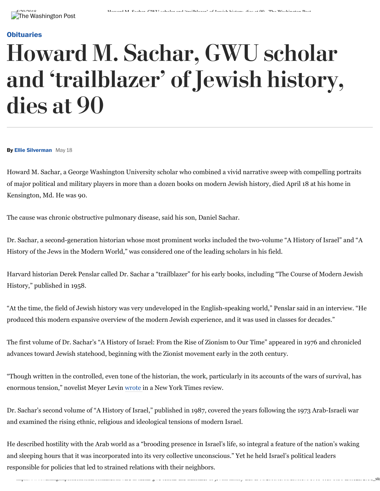## **[Obituaries](http://www.washingtonpost.com/local/obituaries)**

## Howard M. Sachar, GWU scholar and 'trailblazer' of Jewish history, dies at 90

**By Ellie Silverman** May 18

Howard M. Sachar, a George Washington University scholar who combined a vivid narrative sweep with compelling portraits of major political and military players in more than a dozen books on modern Jewish history, died April 18 at his home in Kensington, Md. He was 90.

The cause was chronic obstructive pulmonary disease, said his son, Daniel Sachar.

Dr. Sachar, a second-generation historian whose most prominent works included the two-volume "A History of Israel" and "A History of the Jews in the Modern World," was considered one of the leading scholars in his field.

Harvard historian Derek Penslar called Dr. Sachar a "trailblazer" for his early books, including "The Course of Modern Jewish History," published in 1958.

"At the time, the field of Jewish history was very undeveloped in the English-speaking world," Penslar said in an interview. "He produced this modern expansive overview of the modern Jewish experience, and it was used in classes for decades."

The first volume of Dr. Sachar's "A History of Israel: From the Rise of Zionism to Our Time" appeared in 1976 and chronicled advances toward Jewish statehood, beginning with the Zionist movement early in the 20th century.

"Though written in the controlled, even tone of the historian, the work, particularly in its accounts of the wars of survival, has enormous tension," novelist Meyer Levin [wrote i](https://www.nytimes.com/1987/07/26/books/war-has-made-the-difference.html)n a New York Times review.

Dr. Sachar's second volume of "A History of Israel," published in 1987, covered the years following the 1973 Arab-Israeli war and examined the rising ethnic, religious and ideological tensions of modern Israel.

He described hostility with the Arab world as a "brooding presence in Israel's life, so integral a feature of the nation's waking and sleeping hours that it was incorporated into its very collective unconscious." Yet he held Israel's political leaders responsible for policies that led to strained relations with their neighbors.

washingtonpost.com/local/obituaries-in-sachar-gwa-scholar-and-dialolaries-of-jewish-history-and-and-at-90/2019/05/19<br>Story-of-sensitive dies-dies-at-90/2018/db9f8c8-a5f8c8-a5f8c8-591b-11e8-b656-a5f8c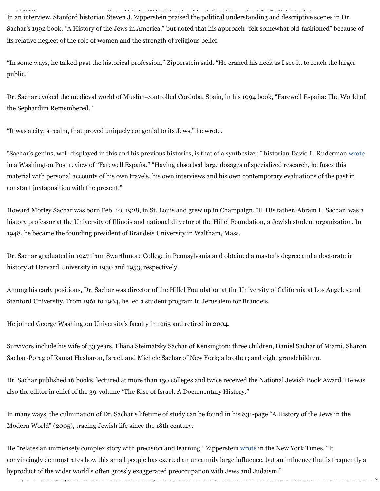5/20/2018 Howard M. Sachar, GWU scholar and 'trailblazer' of Jewish history, dies at 90 - The Washington Post

In an interview, Stanford historian Steven J. Zipperstein praised the political understanding and descriptive scenes in Dr. Sachar's 1992 book, "A History of the Jews in America," but noted that his approach "felt somewhat old-fashioned" because of its relative neglect of the role of women and the strength of religious belief.

"In some ways, he talked past the historical profession," Zipperstein said. "He craned his neck as I see it, to reach the larger public."

Dr. Sachar evoked the medieval world of Muslim-controlled Cordoba, Spain, in his 1994 book, "Farewell España: The World of the Sephardim Remembered."

"It was a city, a realm, that proved uniquely congenial to its Jews," he wrote.

"Sachar's genius, well-displayed in this and his previous histories, is that of a synthesizer," historian David L. Ruderman [wrote](https://www.washingtonpost.com/archive/entertainment/books/1994/12/11/heritage-of-grace-and-learning/2262afd4-b92a-4a4d-93ac-22d14d1bec0a/?utm_term=.2204a44ec249) in a Washington Post review of "Farewell España." "Having absorbed large dosages of specialized research, he fuses this material with personal accounts of his own travels, his own interviews and his own contemporary evaluations of the past in constant juxtaposition with the present."

Howard Morley Sachar was born Feb. 10, 1928, in St. Louis and grew up in Champaign, Ill. His father, Abram L. Sachar, was a history professor at the University of Illinois and national director of the Hillel Foundation, a Jewish student organization. In 1948, he became the founding president of Brandeis University in Waltham, Mass.

Dr. Sachar graduated in 1947 from Swarthmore College in Pennsylvania and obtained a master's degree and a doctorate in history at Harvard University in 1950 and 1953, respectively.

Among his early positions, Dr. Sachar was director of the Hillel Foundation at the University of California at Los Angeles and Stanford University. From 1961 to 1964, he led a student program in Jerusalem for Brandeis.

He joined George Washington University's faculty in 1965 and retired in 2004.

Survivors include his wife of 53 years, Eliana Steimatzky Sachar of Kensington; three children, Daniel Sachar of Miami, Sharon Sachar-Porag of Ramat Hasharon, Israel, and Michele Sachar of New York; a brother; and eight grandchildren.

Dr. Sachar published 16 books, lectured at more than 150 colleges and twice received the National Jewish Book Award. He was also the editor in chief of the 39-volume "The Rise of Israel: A Documentary History."

In many ways, the culmination of Dr. Sachar's lifetime of study can be found in his 831-page "A History of the Jews in the Modern World" (2005), tracing Jewish life since the 18th century.

https://www.washingtonpost.com/local/obituaries/howard-m-sachar-gwu-scholar-and-trailblazer-of-jewish-history-dies-at-90/2018/05/18/db9f8c76-591b-11e8-b656-a5f8c2a9295d\_sto He "relates an immensely complex story with precision and learning," Zipperstein [wrote](https://www.nytimes.com/2005/09/04/books/review/a-history-of-the-jews-in-the-modern-world-the-best-of-times.html) in the New York Times. "It convincingly demonstrates how this small people has exerted an uncannily large influence, but an influence that is frequently a byproduct of the wider world's often grossly exaggerated preoccupation with Jews and Judaism."